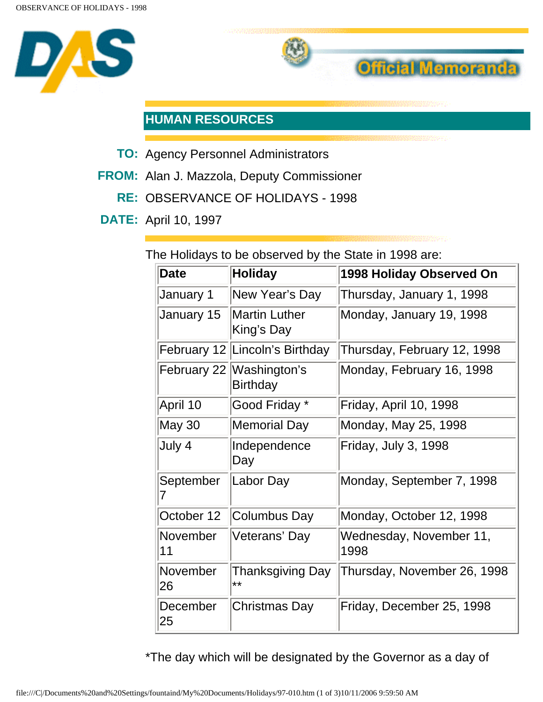



## **HUMAN RESOURCES**

- **TO:** Agency Personnel Administrators
- **FROM:** Alan J. Mazzola, Deputy Commissioner
	- **RE:** OBSERVANCE OF HOLIDAYS 1998
- **DATE:** April 10, 1997

The Holidays to be observed by the State in 1998 are:

| <b>Date</b>    | <b>Holiday</b>                              | 1998 Holiday Observed On        |
|----------------|---------------------------------------------|---------------------------------|
| January 1      | New Year's Day                              | Thursday, January 1, 1998       |
| January 15     | <b>Martin Luther</b><br>King's Day          | Monday, January 19, 1998        |
|                | February 12 Lincoln's Birthday              | Thursday, February 12, 1998     |
|                | February 22 Washington's<br><b>Birthday</b> | Monday, February 16, 1998       |
| April 10       | Good Friday *                               | Friday, April 10, 1998          |
| <b>May 30</b>  | <b>Memorial Day</b>                         | Monday, May 25, 1998            |
| July 4         | Independence<br>Day                         | Friday, July 3, 1998            |
| September      | Labor Day                                   | Monday, September 7, 1998       |
| October 12     | Columbus Day                                | Monday, October 12, 1998        |
| November<br>11 | Veterans' Day                               | Wednesday, November 11,<br>1998 |
| November<br>26 | Thanksgiving Day<br>**                      | Thursday, November 26, 1998     |
| December<br>25 | Christmas Day                               | Friday, December 25, 1998       |

\*The day which will be designated by the Governor as a day of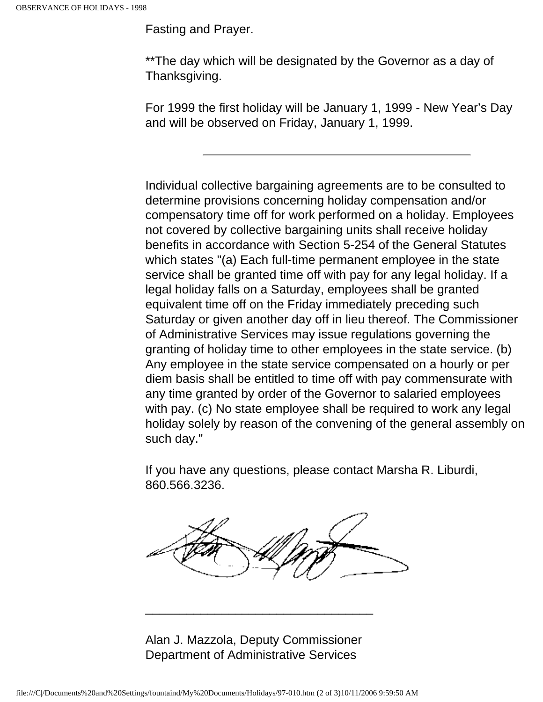Fasting and Prayer.

\*\*The day which will be designated by the Governor as a day of Thanksgiving.

For 1999 the first holiday will be January 1, 1999 - New Year's Day and will be observed on Friday, January 1, 1999.

Individual collective bargaining agreements are to be consulted to determine provisions concerning holiday compensation and/or compensatory time off for work performed on a holiday. Employees not covered by collective bargaining units shall receive holiday benefits in accordance with Section 5-254 of the General Statutes which states "(a) Each full-time permanent employee in the state service shall be granted time off with pay for any legal holiday. If a legal holiday falls on a Saturday, employees shall be granted equivalent time off on the Friday immediately preceding such Saturday or given another day off in lieu thereof. The Commissioner of Administrative Services may issue regulations governing the granting of holiday time to other employees in the state service. (b) Any employee in the state service compensated on a hourly or per diem basis shall be entitled to time off with pay commensurate with any time granted by order of the Governor to salaried employees with pay. (c) No state employee shall be required to work any legal holiday solely by reason of the convening of the general assembly on such day."

If you have any questions, please contact Marsha R. Liburdi, 860.566.3236.



Alan J. Mazzola, Deputy Commissioner Department of Administrative Services

\_\_\_\_\_\_\_\_\_\_\_\_\_\_\_\_\_\_\_\_\_\_\_\_\_\_\_\_\_\_\_\_\_